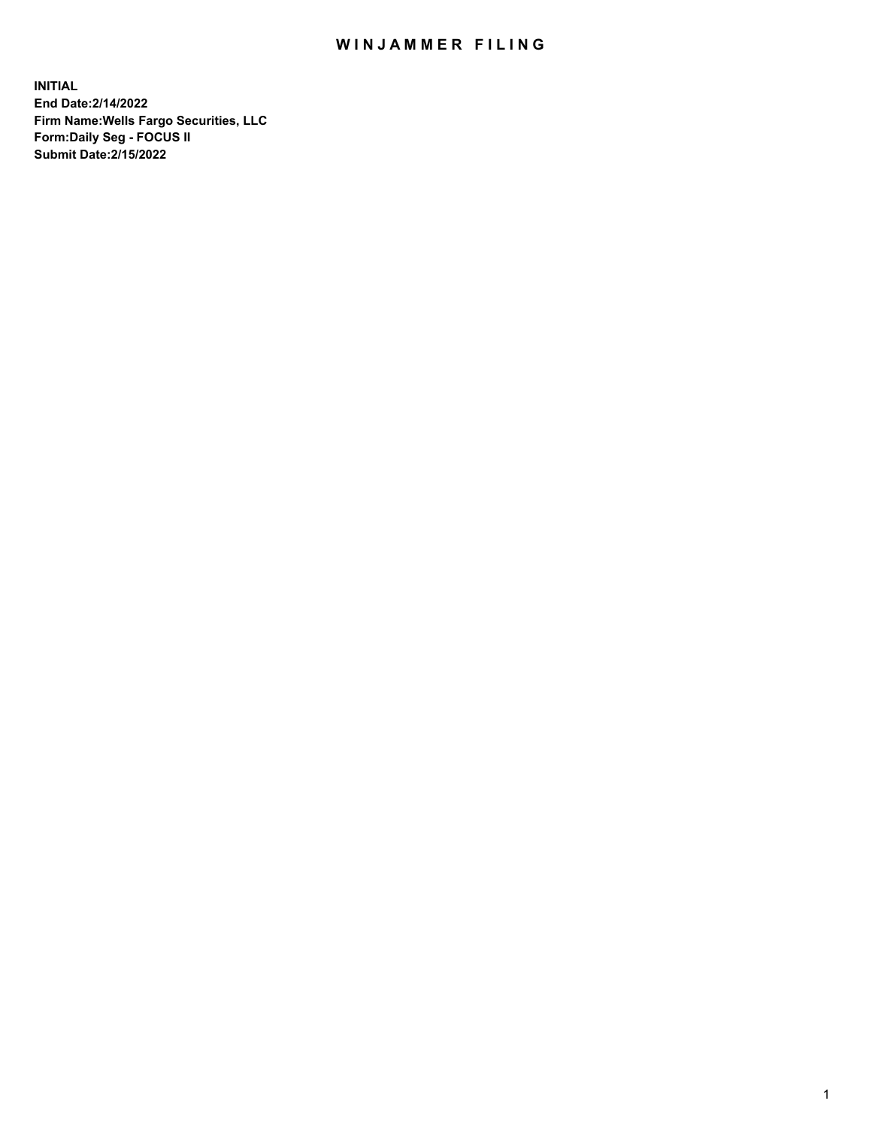## WIN JAMMER FILING

**INITIAL End Date:2/14/2022 Firm Name:Wells Fargo Securities, LLC Form:Daily Seg - FOCUS II Submit Date:2/15/2022**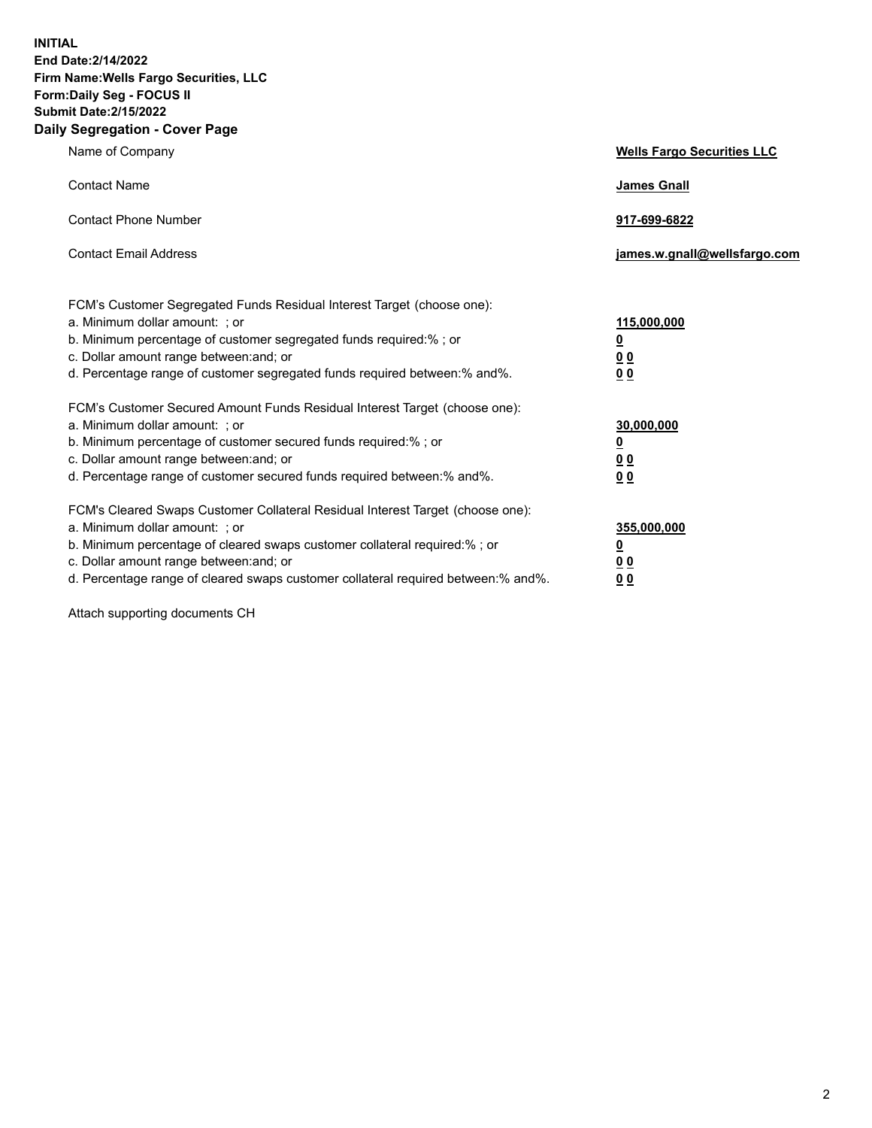**INITIAL End Date:2/14/2022 Firm Name:Wells Fargo Securities, LLC Form:Daily Seg - FOCUS II Submit Date:2/15/2022 Daily Segregation - Cover Page**

| Name of Company                                                                                                                                                                                                                                                                                                                | <b>Wells Fargo Securities LLC</b>                          |
|--------------------------------------------------------------------------------------------------------------------------------------------------------------------------------------------------------------------------------------------------------------------------------------------------------------------------------|------------------------------------------------------------|
| <b>Contact Name</b>                                                                                                                                                                                                                                                                                                            | <b>James Gnall</b>                                         |
| <b>Contact Phone Number</b>                                                                                                                                                                                                                                                                                                    | 917-699-6822                                               |
| <b>Contact Email Address</b>                                                                                                                                                                                                                                                                                                   | james.w.gnall@wellsfargo.com                               |
| FCM's Customer Segregated Funds Residual Interest Target (choose one):<br>a. Minimum dollar amount: ; or<br>b. Minimum percentage of customer segregated funds required:% ; or<br>c. Dollar amount range between: and; or<br>d. Percentage range of customer segregated funds required between:% and%.                         | 115,000,000<br><u>0</u><br>0 <sub>0</sub><br>00            |
| FCM's Customer Secured Amount Funds Residual Interest Target (choose one):<br>a. Minimum dollar amount: ; or<br>b. Minimum percentage of customer secured funds required:%; or<br>c. Dollar amount range between: and; or<br>d. Percentage range of customer secured funds required between:% and%.                            | 30,000,000<br><u>0</u><br>0 <sub>0</sub><br>0 <sub>0</sub> |
| FCM's Cleared Swaps Customer Collateral Residual Interest Target (choose one):<br>a. Minimum dollar amount: ; or<br>b. Minimum percentage of cleared swaps customer collateral required:% ; or<br>c. Dollar amount range between: and; or<br>d. Percentage range of cleared swaps customer collateral required between:% and%. | 355,000,000<br><u>0</u><br>00<br>00                        |

Attach supporting documents CH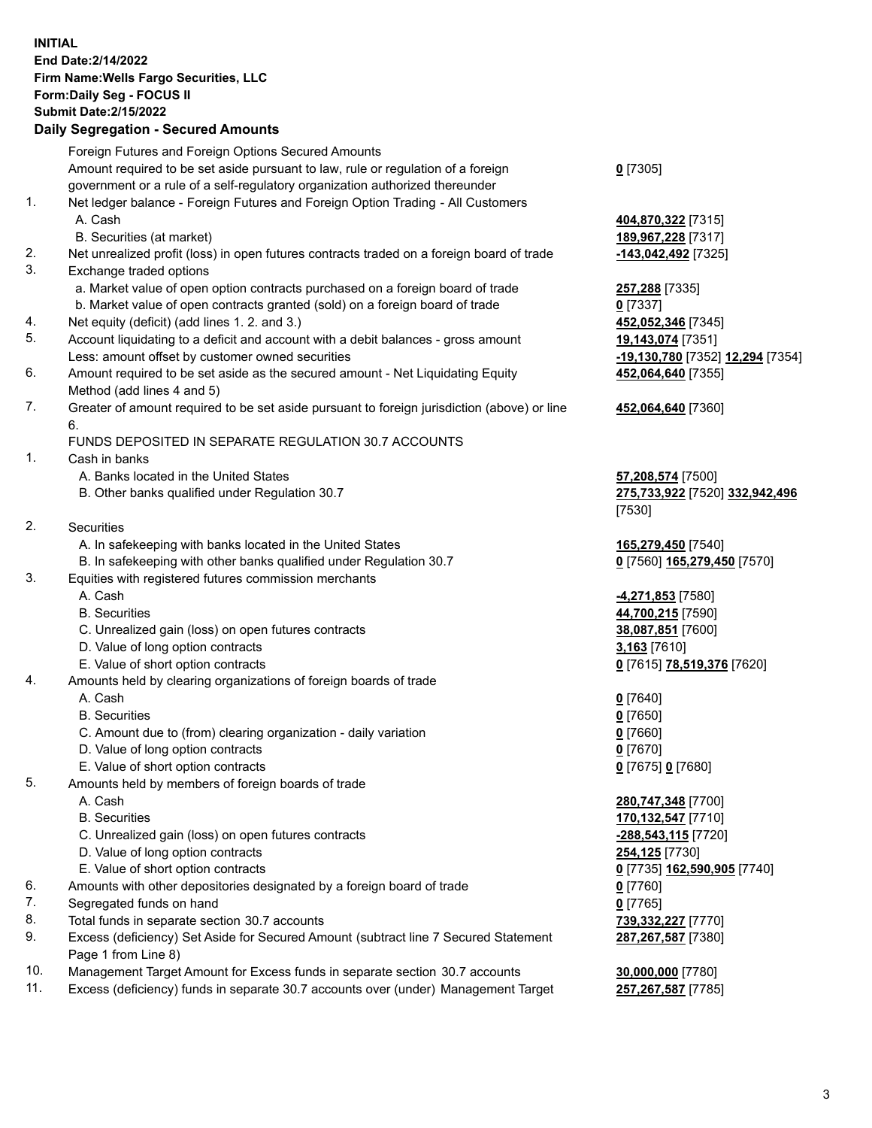**INITIAL End Date:2/14/2022 Firm Name:Wells Fargo Securities, LLC Form:Daily Seg - FOCUS II Submit Date:2/15/2022**

## **Daily Segregation - Secured Amounts**

|                 | Foreign Futures and Foreign Options Secured Amounts                                         |                                  |
|-----------------|---------------------------------------------------------------------------------------------|----------------------------------|
|                 | Amount required to be set aside pursuant to law, rule or regulation of a foreign            | $0$ [7305]                       |
|                 | government or a rule of a self-regulatory organization authorized thereunder                |                                  |
| 1.              | Net ledger balance - Foreign Futures and Foreign Option Trading - All Customers             |                                  |
|                 | A. Cash                                                                                     | 404,870,322 [7315]               |
|                 | B. Securities (at market)                                                                   | 189,967,228 [7317]               |
| 2.              | Net unrealized profit (loss) in open futures contracts traded on a foreign board of trade   | -143,042,492 [7325]              |
| 3.              | Exchange traded options                                                                     |                                  |
|                 | a. Market value of open option contracts purchased on a foreign board of trade              | 257,288 [7335]                   |
|                 | b. Market value of open contracts granted (sold) on a foreign board of trade                | $0$ [7337]                       |
| 4.              | Net equity (deficit) (add lines 1. 2. and 3.)                                               | 452,052,346 [7345]               |
| 5.              | Account liquidating to a deficit and account with a debit balances - gross amount           | 19,143,074 [7351]                |
|                 | Less: amount offset by customer owned securities                                            | -19,130,780 [7352] 12,294 [7354] |
| 6.              | Amount required to be set aside as the secured amount - Net Liquidating Equity              | 452,064,640 [7355]               |
|                 | Method (add lines 4 and 5)                                                                  |                                  |
| 7.              | Greater of amount required to be set aside pursuant to foreign jurisdiction (above) or line | 452,064,640 [7360]               |
|                 | 6.                                                                                          |                                  |
|                 | FUNDS DEPOSITED IN SEPARATE REGULATION 30.7 ACCOUNTS                                        |                                  |
| 1.              | Cash in banks                                                                               |                                  |
|                 | A. Banks located in the United States                                                       | 57,208,574 [7500]                |
|                 | B. Other banks qualified under Regulation 30.7                                              | 275,733,922 [7520] 332,942,496   |
|                 |                                                                                             | [7530]                           |
| 2.              | Securities                                                                                  |                                  |
|                 | A. In safekeeping with banks located in the United States                                   | 165,279,450 [7540]               |
|                 | B. In safekeeping with other banks qualified under Regulation 30.7                          | 0 [7560] 165,279,450 [7570]      |
| 3.              | Equities with registered futures commission merchants                                       |                                  |
|                 | A. Cash                                                                                     | <u>-4,271,853</u> [7580]         |
|                 | <b>B.</b> Securities                                                                        | 44,700,215 [7590]                |
|                 | C. Unrealized gain (loss) on open futures contracts                                         | 38,087,851 [7600]                |
|                 | D. Value of long option contracts                                                           | $3,163$ [7610]                   |
|                 | E. Value of short option contracts                                                          | 0 [7615] 78,519,376 [7620]       |
| 4.              | Amounts held by clearing organizations of foreign boards of trade                           |                                  |
|                 | A. Cash                                                                                     | $0$ [7640]                       |
|                 | <b>B.</b> Securities                                                                        | $0$ [7650]                       |
|                 | C. Amount due to (from) clearing organization - daily variation                             | $0$ [7660]                       |
|                 | D. Value of long option contracts                                                           | $0$ [7670]                       |
|                 | E. Value of short option contracts                                                          | 0 [7675] 0 [7680]                |
| 5.              | Amounts held by members of foreign boards of trade                                          |                                  |
|                 | A. Cash                                                                                     | 280,747,348 [7700]               |
|                 | <b>B.</b> Securities                                                                        | 170,132,547 [7710]               |
|                 | C. Unrealized gain (loss) on open futures contracts                                         | -288,543,115 [7720]              |
|                 | D. Value of long option contracts                                                           | <b>254,125</b> [7730]            |
|                 | E. Value of short option contracts                                                          | 0 [7735] 162,590,905 [7740]      |
| 6.              | Amounts with other depositories designated by a foreign board of trade                      | 0 [7760]                         |
| 7.              | Segregated funds on hand                                                                    | $0$ [7765]                       |
| 8.              | Total funds in separate section 30.7 accounts                                               | 739,332,227 [7770]               |
| 9.              | Excess (deficiency) Set Aside for Secured Amount (subtract line 7 Secured Statement         | 287, 267, 587 [7380]             |
| $\overline{10}$ | Page 1 from Line 8)                                                                         |                                  |

- 10. Management Target Amount for Excess funds in separate section 30.7 accounts **30,000,000** [7780]
- 11. Excess (deficiency) funds in separate 30.7 accounts over (under) Management Target **257,267,587** [7785]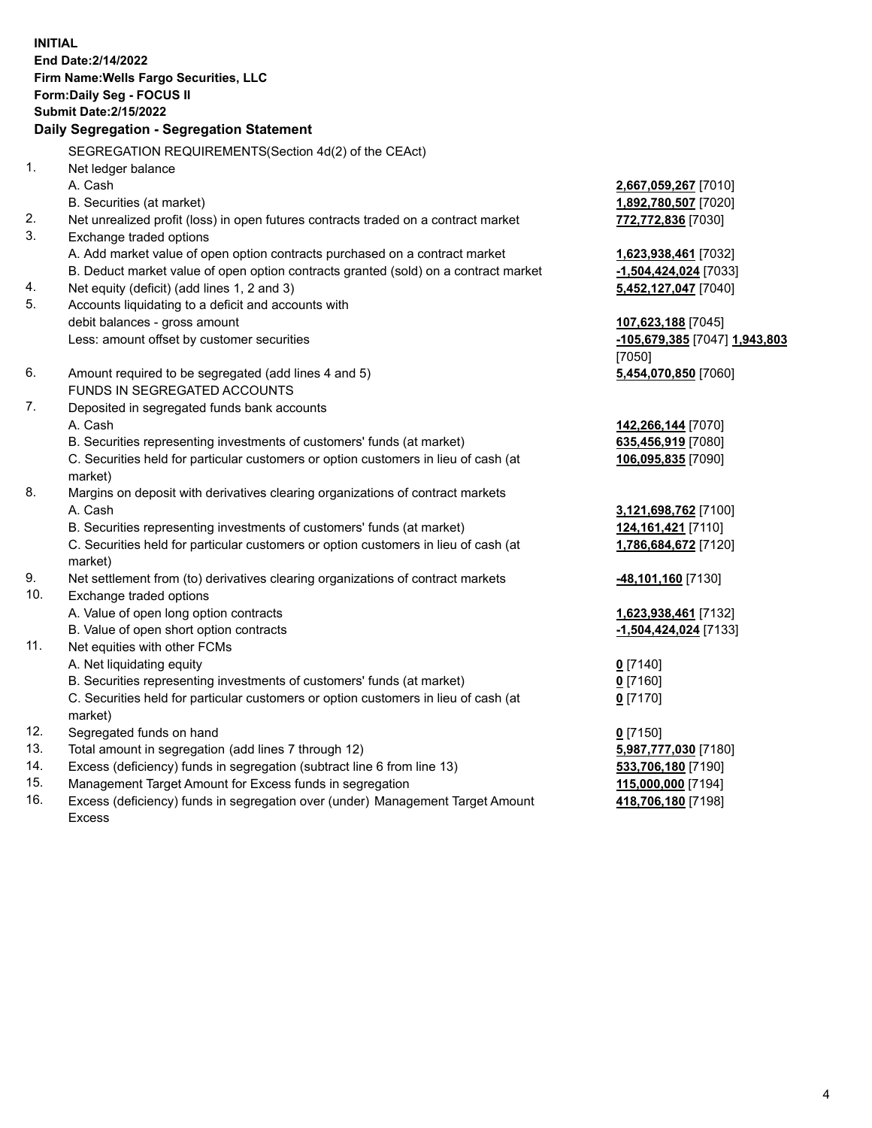**INITIAL End Date:2/14/2022 Firm Name:Wells Fargo Securities, LLC Form:Daily Seg - FOCUS II Submit Date:2/15/2022**

## **Daily Segregation - Segregation Statement**

SEGREGATION REQUIREMENTS(Section 4d(2) of the CEAct)

| 1.  | Net ledger balance                                                                  |                               |
|-----|-------------------------------------------------------------------------------------|-------------------------------|
|     | A. Cash                                                                             | 2,667,059,267 [7010]          |
|     | B. Securities (at market)                                                           | 1,892,780,507 [7020]          |
| 2.  | Net unrealized profit (loss) in open futures contracts traded on a contract market  | 772,772,836 [7030]            |
| 3.  | Exchange traded options                                                             |                               |
|     | A. Add market value of open option contracts purchased on a contract market         | 1,623,938,461 [7032]          |
|     | B. Deduct market value of open option contracts granted (sold) on a contract market | -1,504,424,024 [7033]         |
| 4.  | Net equity (deficit) (add lines 1, 2 and 3)                                         | 5,452,127,047 [7040]          |
| 5.  | Accounts liquidating to a deficit and accounts with                                 |                               |
|     | debit balances - gross amount                                                       | 107,623,188 [7045]            |
|     | Less: amount offset by customer securities                                          | -105,679,385 [7047] 1,943,803 |
|     |                                                                                     | [7050]                        |
| 6.  | Amount required to be segregated (add lines 4 and 5)                                | 5,454,070,850 [7060]          |
|     | FUNDS IN SEGREGATED ACCOUNTS                                                        |                               |
| 7.  | Deposited in segregated funds bank accounts                                         |                               |
|     | A. Cash                                                                             | 142,266,144 [7070]            |
|     | B. Securities representing investments of customers' funds (at market)              | 635,456,919 [7080]            |
|     | C. Securities held for particular customers or option customers in lieu of cash (at | 106,095,835 [7090]            |
|     | market)                                                                             |                               |
| 8.  | Margins on deposit with derivatives clearing organizations of contract markets      |                               |
|     | A. Cash                                                                             | 3,121,698,762 [7100]          |
|     | B. Securities representing investments of customers' funds (at market)              | 124, 161, 421 [7110]          |
|     | C. Securities held for particular customers or option customers in lieu of cash (at | 1,786,684,672 [7120]          |
|     | market)                                                                             |                               |
| 9.  | Net settlement from (to) derivatives clearing organizations of contract markets     | -48,101,160 [7130]            |
| 10. | Exchange traded options                                                             |                               |
|     | A. Value of open long option contracts                                              | 1,623,938,461 [7132]          |
|     | B. Value of open short option contracts                                             | -1,504,424,024 [7133]         |
| 11. | Net equities with other FCMs                                                        |                               |
|     | A. Net liquidating equity                                                           | $0$ [7140]                    |
|     | B. Securities representing investments of customers' funds (at market)              | $0$ [7160]                    |
|     | C. Securities held for particular customers or option customers in lieu of cash (at | $0$ [7170]                    |
|     | market)                                                                             |                               |
| 12. | Segregated funds on hand                                                            | $0$ [7150]                    |
| 13. | Total amount in segregation (add lines 7 through 12)                                | 5,987,777,030 [7180]          |
| 14. | Excess (deficiency) funds in segregation (subtract line 6 from line 13)             | 533,706,180 [7190]            |
| 15. | Management Target Amount for Excess funds in segregation                            | 115,000,000 [7194]            |
| 16. | Excess (deficiency) funds in segregation over (under) Management Target Amount      | 418,706,180 [7198]            |
|     | Excess                                                                              |                               |